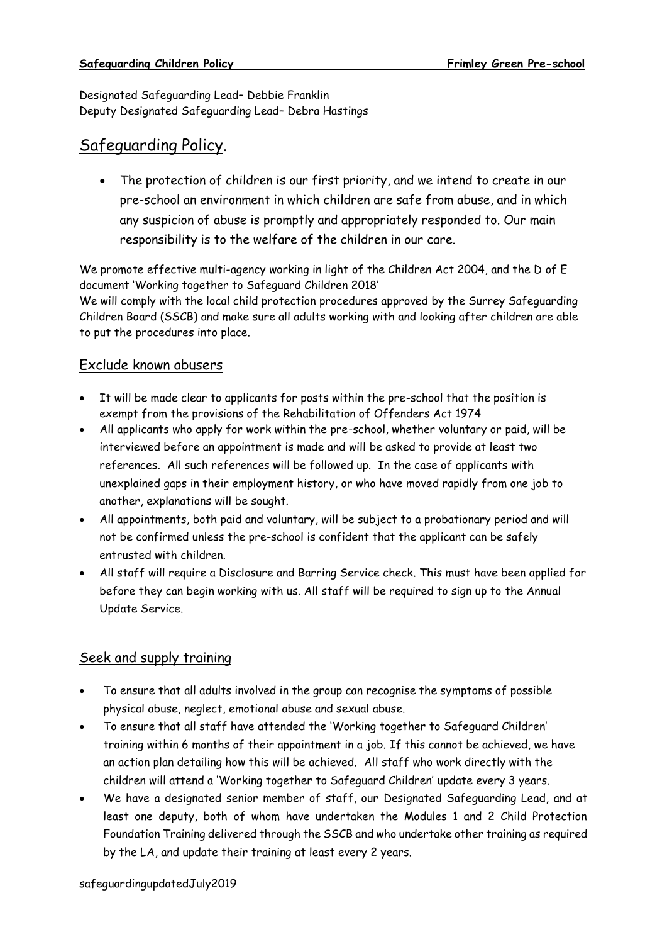Designated Safeguarding Lead– Debbie Franklin Deputy Designated Safeguarding Lead– Debra Hastings

## Safeguarding Policy.

• The protection of children is our first priority, and we intend to create in our pre-school an environment in which children are safe from abuse, and in which any suspicion of abuse is promptly and appropriately responded to. Our main responsibility is to the welfare of the children in our care.

We promote effective multi-agency working in light of the Children Act 2004, and the D of E document 'Working together to Safeguard Children 2018'

We will comply with the local child protection procedures approved by the Surrey Safeguarding Children Board (SSCB) and make sure all adults working with and looking after children are able to put the procedures into place.

### Exclude known abusers

- It will be made clear to applicants for posts within the pre-school that the position is exempt from the provisions of the Rehabilitation of Offenders Act 1974
- All applicants who apply for work within the pre-school, whether voluntary or paid, will be interviewed before an appointment is made and will be asked to provide at least two references. All such references will be followed up. In the case of applicants with unexplained gaps in their employment history, or who have moved rapidly from one job to another, explanations will be sought.
- All appointments, both paid and voluntary, will be subject to a probationary period and will not be confirmed unless the pre-school is confident that the applicant can be safely entrusted with children.
- All staff will require a Disclosure and Barring Service check. This must have been applied for before they can begin working with us. All staff will be required to sign up to the Annual Update Service.

## Seek and supply training

- To ensure that all adults involved in the group can recognise the symptoms of possible physical abuse, neglect, emotional abuse and sexual abuse.
- To ensure that all staff have attended the 'Working together to Safeguard Children' training within 6 months of their appointment in a job. If this cannot be achieved, we have an action plan detailing how this will be achieved. All staff who work directly with the children will attend a 'Working together to Safeguard Children' update every 3 years.
- We have a designated senior member of staff, our Designated Safeguarding Lead, and at least one deputy, both of whom have undertaken the Modules 1 and 2 Child Protection Foundation Training delivered through the SSCB and who undertake other training as required by the LA, and update their training at least every 2 years.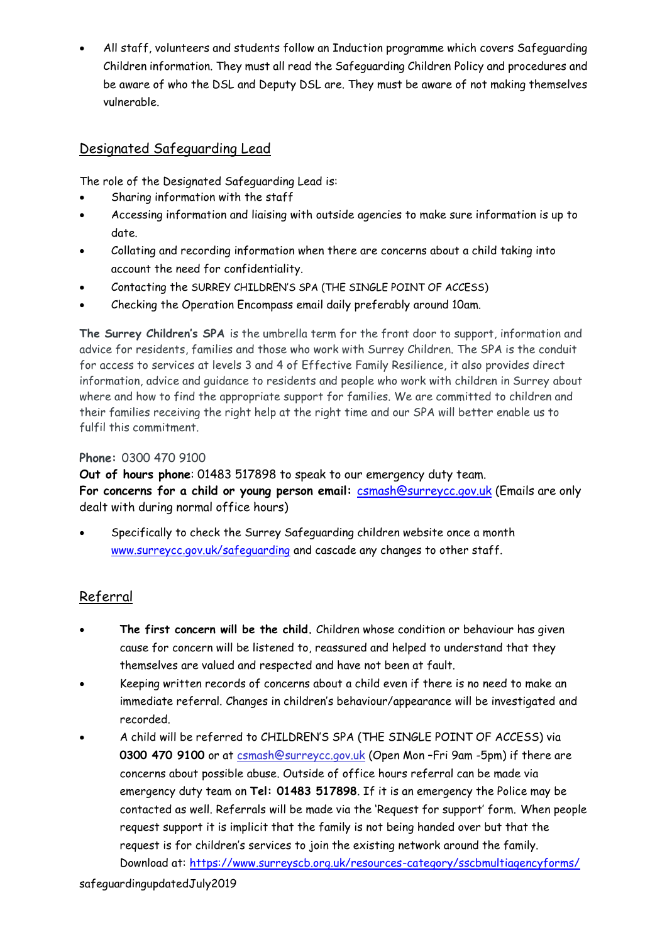• All staff, volunteers and students follow an Induction programme which covers Safeguarding Children information. They must all read the Safeguarding Children Policy and procedures and be aware of who the DSL and Deputy DSL are. They must be aware of not making themselves vulnerable.

## Designated Safeguarding Lead

The role of the Designated Safeguarding Lead is:

- Sharing information with the staff
- Accessing information and liaising with outside agencies to make sure information is up to date.
- Collating and recording information when there are concerns about a child taking into account the need for confidentiality.
- Contacting the SURREY CHILDREN'S SPA (THE SINGLE POINT OF ACCESS)
- Checking the Operation Encompass email daily preferably around 10am.

**The Surrey Children's SPA** is the umbrella term for the front door to support, information and advice for residents, families and those who work with Surrey Children. The SPA is the conduit for access to services at levels 3 and 4 of Effective Family Resilience, it also provides direct information, advice and guidance to residents and people who work with children in Surrey about where and how to find the appropriate support for families. We are committed to children and their families receiving the right help at the right time and our SPA will better enable us to fulfil this commitment.

### **Phone:** 0300 470 9100

**Out of hours phone**: 01483 517898 to speak to our emergency duty team. **For concerns for a child or young person email:** [csmash@surreycc.gov.uk](mailto:csmash@surreycc.gov.uk) (Emails are only dealt with during normal office hours)

• Specifically to check the Surrey Safeguarding children website once a month [www.surreycc.gov.uk/safeguarding](http://www.surreycc.gov.uk/safeguarding) and cascade any changes to other staff.

### Referral

- **The first concern will be the child.** Children whose condition or behaviour has given cause for concern will be listened to, reassured and helped to understand that they themselves are valued and respected and have not been at fault.
- Keeping written records of concerns about a child even if there is no need to make an immediate referral. Changes in children's behaviour/appearance will be investigated and recorded.
- A child will be referred to CHILDREN'S SPA (THE SINGLE POINT OF ACCESS) via **0300 470 9100** or at c[smash@surreycc.gov.uk](mailto:mash@surreycc.gov.uk) (Open Mon –Fri 9am -5pm) if there are concerns about possible abuse. Outside of office hours referral can be made via emergency duty team on **Tel: 01483 517898**. If it is an emergency the Police may be contacted as well. Referrals will be made via the 'Request for support' form. When people request support it is implicit that the family is not being handed over but that the request is for children's services to join the existing network around the family. Download at: <https://www.surreyscb.org.uk/resources-category/sscbmultiagencyforms/>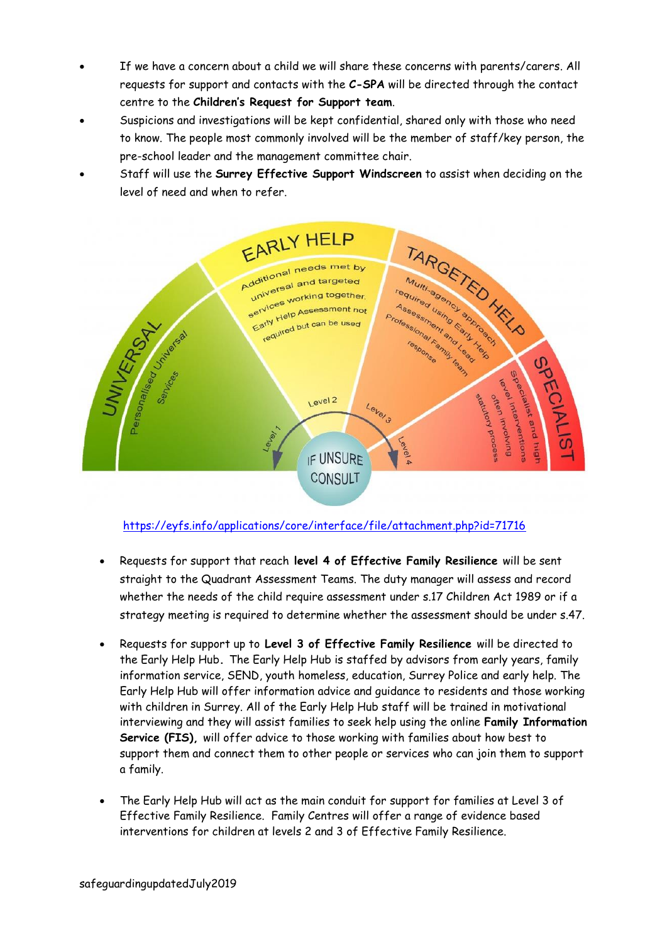- If we have a concern about a child we will share these concerns with parents/carers. All requests for support and contacts with the **C-SPA** will be directed through the contact centre to the **Children's Request for Support team**.
- Suspicions and investigations will be kept confidential, shared only with those who need to know. The people most commonly involved will be the member of staff/key person, the pre-school leader and the management committee chair.
- Staff will use the **Surrey Effective Support Windscreen** to assist when deciding on the level of need and when to refer.



<https://eyfs.info/applications/core/interface/file/attachment.php?id=71716>

- Requests for support that reach **level 4 of Effective Family Resilience** will be sent straight to the Quadrant Assessment Teams. The duty manager will assess and record whether the needs of the child require assessment under s.17 Children Act 1989 or if a strategy meeting is required to determine whether the assessment should be under s.47.
- Requests for support up to **Level 3 of Effective Family Resilience** will be directed to the Early Help Hub**.** The Early Help Hub is staffed by advisors from early years, family information service, SEND, youth homeless, education, Surrey Police and early help. The Early Help Hub will offer information advice and guidance to residents and those working with children in Surrey. All of the Early Help Hub staff will be trained in motivational interviewing and they will assist families to seek help using the online **Family Information Service (FIS),** will offer advice to those working with families about how best to support them and connect them to other people or services who can join them to support a family.
- The Early Help Hub will act as the main conduit for support for families at Level 3 of Effective Family Resilience. Family Centres will offer a range of evidence based interventions for children at levels 2 and 3 of Effective Family Resilience.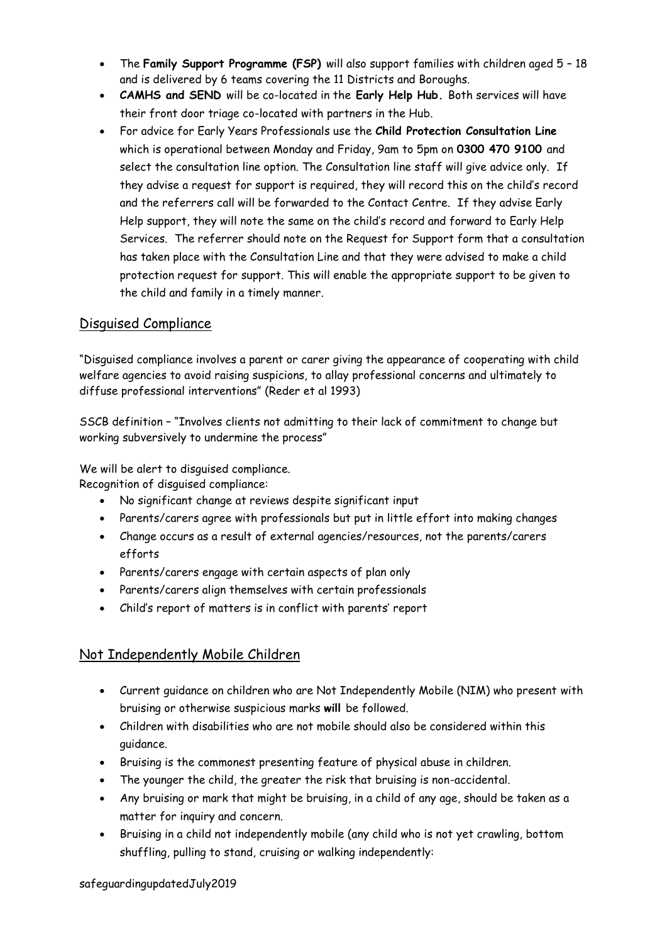- The **Family Support Programme (FSP)** will also support families with children aged 5 18 and is delivered by 6 teams covering the 11 Districts and Boroughs.
- **CAMHS and SEND** will be co-located in the **Early Help Hub.** Both services will have their front door triage co-located with partners in the Hub.
- For advice for Early Years Professionals use the **Child Protection Consultation Line**  which is operational between Monday and Friday, 9am to 5pm on **0300 470 9100** and select the consultation line option. The Consultation line staff will give advice only. If they advise a request for support is required, they will record this on the child's record and the referrers call will be forwarded to the Contact Centre. If they advise Early Help support, they will note the same on the child's record and forward to Early Help Services. The referrer should note on the Request for Support form that a consultation has taken place with the Consultation Line and that they were advised to make a child protection request for support. This will enable the appropriate support to be given to the child and family in a timely manner.

### Disguised Compliance

"Disguised compliance involves a parent or carer giving the appearance of cooperating with child welfare agencies to avoid raising suspicions, to allay professional concerns and ultimately to diffuse professional interventions" (Reder et al 1993)

SSCB definition – "Involves clients not admitting to their lack of commitment to change but working subversively to undermine the process"

We will be alert to disguised compliance.

Recognition of disguised compliance:

- No significant change at reviews despite significant input
- Parents/carers agree with professionals but put in little effort into making changes
- Change occurs as a result of external agencies/resources, not the parents/carers efforts
- Parents/carers engage with certain aspects of plan only
- Parents/carers align themselves with certain professionals
- Child's report of matters is in conflict with parents' report

### Not Independently Mobile Children

- Current guidance on children who are Not Independently Mobile (NIM) who present with bruising or otherwise suspicious marks **will** be followed.
- Children with disabilities who are not mobile should also be considered within this guidance.
- Bruising is the commonest presenting feature of physical abuse in children.
- The younger the child, the greater the risk that bruising is non-accidental.
- Any bruising or mark that might be bruising, in a child of any age, should be taken as a matter for inquiry and concern.
- Bruising in a child not independently mobile (any child who is not yet crawling, bottom shuffling, pulling to stand, cruising or walking independently: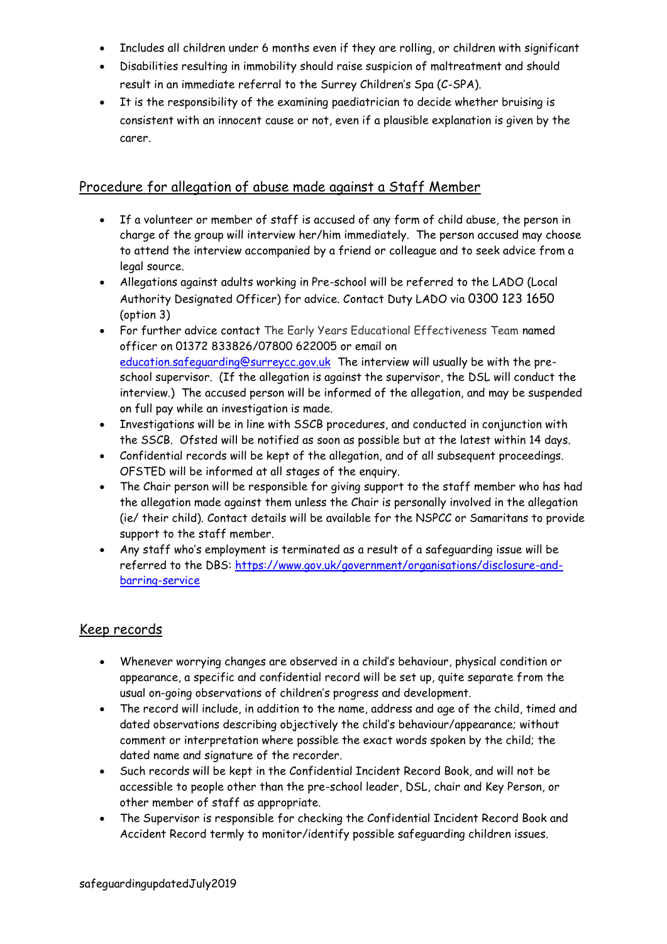- Includes all children under 6 months even if they are rolling, or children with significant
- Disabilities resulting in immobility should raise suspicion of maltreatment and should result in an immediate referral to the Surrey Children's Spa (C-SPA).
- It is the responsibility of the examining paediatrician to decide whether bruising is consistent with an innocent cause or not, even if a plausible explanation is given by the carer.

### Procedure for allegation of abuse made against a Staff Member

- If a volunteer or member of staff is accused of any form of child abuse, the person in charge of the group will interview her/him immediately. The person accused may choose to attend the interview accompanied by a friend or colleague and to seek advice from a legal source.
- Allegations against adults working in Pre-school will be referred to the LADO (Local Authority Designated Officer) for advice. Contact Duty LADO via 0300 123 1650 (option 3)
- For further advice contact The Early Years Educational Effectiveness Team named officer on 01372 833826/07800 622005 or email on [education.safeguarding@surreycc.gov.uk](mailto:education.safeguarding@surreycc.gov.uk) The interview will usually be with the preschool supervisor. (If the allegation is against the supervisor, the DSL will conduct the interview.) The accused person will be informed of the allegation, and may be suspended on full pay while an investigation is made.
- Investigations will be in line with SSCB procedures, and conducted in conjunction with the SSCB. Ofsted will be notified as soon as possible but at the latest within 14 days.
- Confidential records will be kept of the allegation, and of all subsequent proceedings. OFSTED will be informed at all stages of the enquiry.
- The Chair person will be responsible for giving support to the staff member who has had the allegation made against them unless the Chair is personally involved in the allegation (ie/ their child). Contact details will be available for the NSPCC or Samaritans to provide support to the staff member.
- Any staff who's employment is terminated as a result of a safeguarding issue will be referred to the DBS: [https://www.gov.uk/government/organisations/disclosure-and](https://www.gov.uk/government/organisations/disclosure-and-barring-service)[barring-service](https://www.gov.uk/government/organisations/disclosure-and-barring-service)

## Keep records

- Whenever worrying changes are observed in a child's behaviour, physical condition or appearance, a specific and confidential record will be set up, quite separate from the usual on-going observations of children's progress and development.
- The record will include, in addition to the name, address and age of the child, timed and dated observations describing objectively the child's behaviour/appearance; without comment or interpretation where possible the exact words spoken by the child; the dated name and signature of the recorder.
- Such records will be kept in the Confidential Incident Record Book, and will not be accessible to people other than the pre-school leader, DSL, chair and Key Person, or other member of staff as appropriate.
- The Supervisor is responsible for checking the Confidential Incident Record Book and Accident Record termly to monitor/identify possible safeguarding children issues.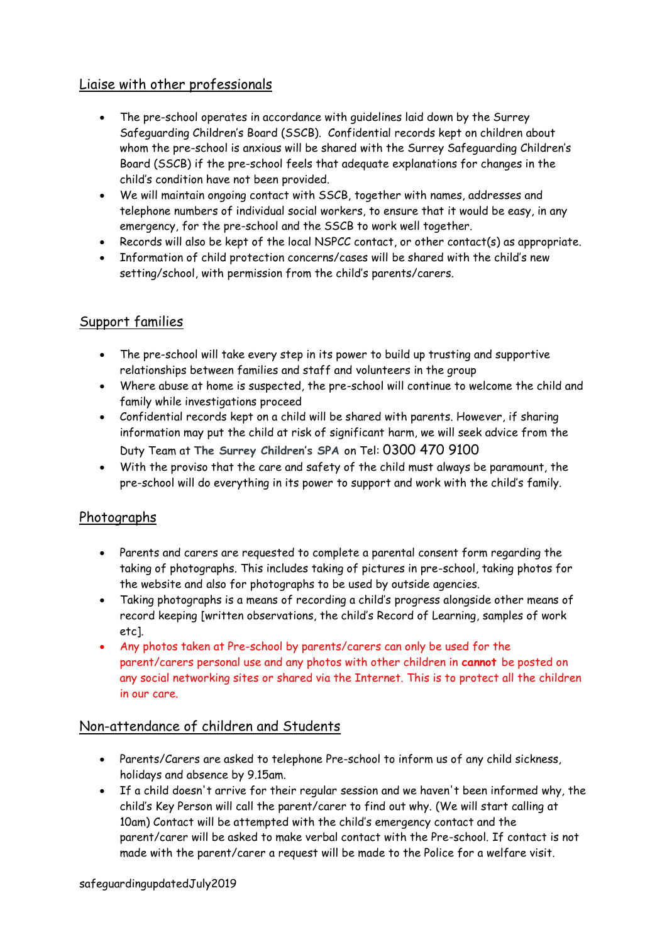## Liaise with other professionals

- The pre-school operates in accordance with guidelines laid down by the Surrey Safeguarding Children's Board (SSCB). Confidential records kept on children about whom the pre-school is anxious will be shared with the Surrey Safeguarding Children's Board (SSCB) if the pre-school feels that adequate explanations for changes in the child's condition have not been provided.
- We will maintain ongoing contact with SSCB, together with names, addresses and telephone numbers of individual social workers, to ensure that it would be easy, in any emergency, for the pre-school and the SSCB to work well together.
- Records will also be kept of the local NSPCC contact, or other contact(s) as appropriate.
- Information of child protection concerns/cases will be shared with the child's new setting/school, with permission from the child's parents/carers.

### Support families

- The pre-school will take every step in its power to build up trusting and supportive relationships between families and staff and volunteers in the group
- Where abuse at home is suspected, the pre-school will continue to welcome the child and family while investigations proceed
- Confidential records kept on a child will be shared with parents. However, if sharing information may put the child at risk of significant harm, we will seek advice from the Duty Team at **The Surrey Children's SPA** on Tel: 0300 470 9100
- With the proviso that the care and safety of the child must always be paramount, the pre-school will do everything in its power to support and work with the child's family.

### Photographs

- Parents and carers are requested to complete a parental consent form regarding the taking of photographs. This includes taking of pictures in pre-school, taking photos for the website and also for photographs to be used by outside agencies.
- Taking photographs is a means of recording a child's progress alongside other means of record keeping [written observations, the child's Record of Learning, samples of work etc].
- Any photos taken at Pre-school by parents/carers can only be used for the parent/carers personal use and any photos with other children in **cannot** be posted on any social networking sites or shared via the Internet. This is to protect all the children in our care.

### Non-attendance of children and Students

- Parents/Carers are asked to telephone Pre-school to inform us of any child sickness, holidays and absence by 9.15am.
- If a child doesn't arrive for their regular session and we haven't been informed why, the child's Key Person will call the parent/carer to find out why. (We will start calling at 10am) Contact will be attempted with the child's emergency contact and the parent/carer will be asked to make verbal contact with the Pre-school. If contact is not made with the parent/carer a request will be made to the Police for a welfare visit.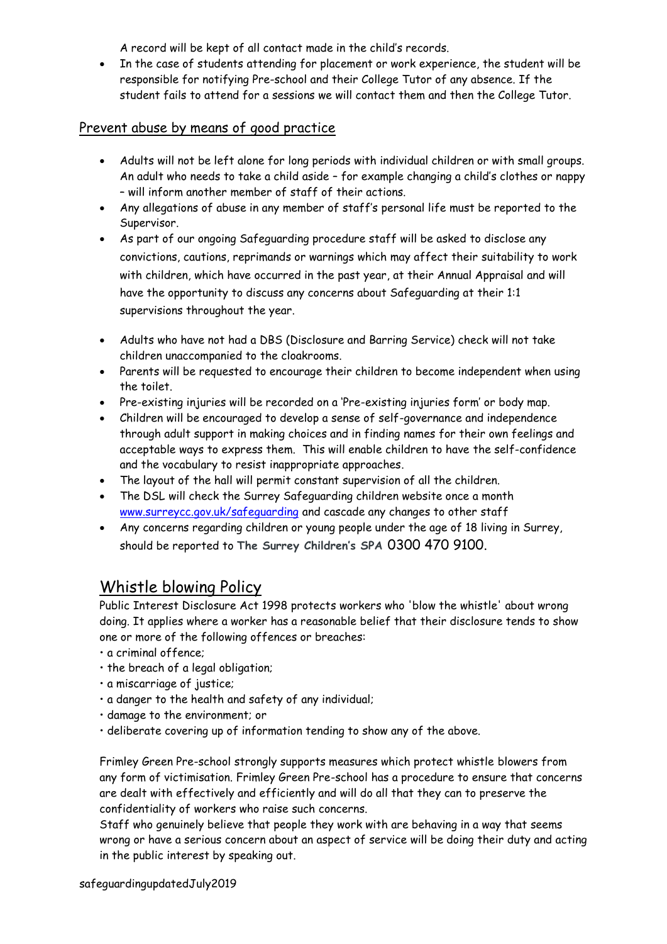A record will be kept of all contact made in the child's records.

• In the case of students attending for placement or work experience, the student will be responsible for notifying Pre-school and their College Tutor of any absence. If the student fails to attend for a sessions we will contact them and then the College Tutor.

### Prevent abuse by means of good practice

- Adults will not be left alone for long periods with individual children or with small groups. An adult who needs to take a child aside – for example changing a child's clothes or nappy – will inform another member of staff of their actions.
- Any allegations of abuse in any member of staff's personal life must be reported to the Supervisor.
- As part of our ongoing Safeguarding procedure staff will be asked to disclose any convictions, cautions, reprimands or warnings which may affect their suitability to work with children, which have occurred in the past year, at their Annual Appraisal and will have the opportunity to discuss any concerns about Safeguarding at their 1:1 supervisions throughout the year.
- Adults who have not had a DBS (Disclosure and Barring Service) check will not take children unaccompanied to the cloakrooms.
- Parents will be requested to encourage their children to become independent when using the toilet.
- Pre-existing injuries will be recorded on a 'Pre-existing injuries form' or body map.
- Children will be encouraged to develop a sense of self-governance and independence through adult support in making choices and in finding names for their own feelings and acceptable ways to express them. This will enable children to have the self-confidence and the vocabulary to resist inappropriate approaches.
- The layout of the hall will permit constant supervision of all the children.
- The DSL will check the Surrey Safeguarding children website once a month [www.surreycc.gov.uk/safeguarding](http://www.surreycc.gov.uk/safeguarding) and cascade any changes to other staff
- Any concerns regarding children or young people under the age of 18 living in Surrey, should be reported to **The Surrey Children's SPA** 0300 470 9100.

## Whistle blowing Policy

Public Interest Disclosure Act 1998 protects workers who 'blow the whistle' about wrong doing. It applies where a worker has a reasonable belief that their disclosure tends to show one or more of the following offences or breaches:

- a criminal offence;
- the breach of a legal obligation;
- a miscarriage of justice;
- a danger to the health and safety of any individual;
- damage to the environment; or
- deliberate covering up of information tending to show any of the above.

Frimley Green Pre-school strongly supports measures which protect whistle blowers from any form of victimisation. Frimley Green Pre-school has a procedure to ensure that concerns are dealt with effectively and efficiently and will do all that they can to preserve the confidentiality of workers who raise such concerns.

Staff who genuinely believe that people they work with are behaving in a way that seems wrong or have a serious concern about an aspect of service will be doing their duty and acting in the public interest by speaking out.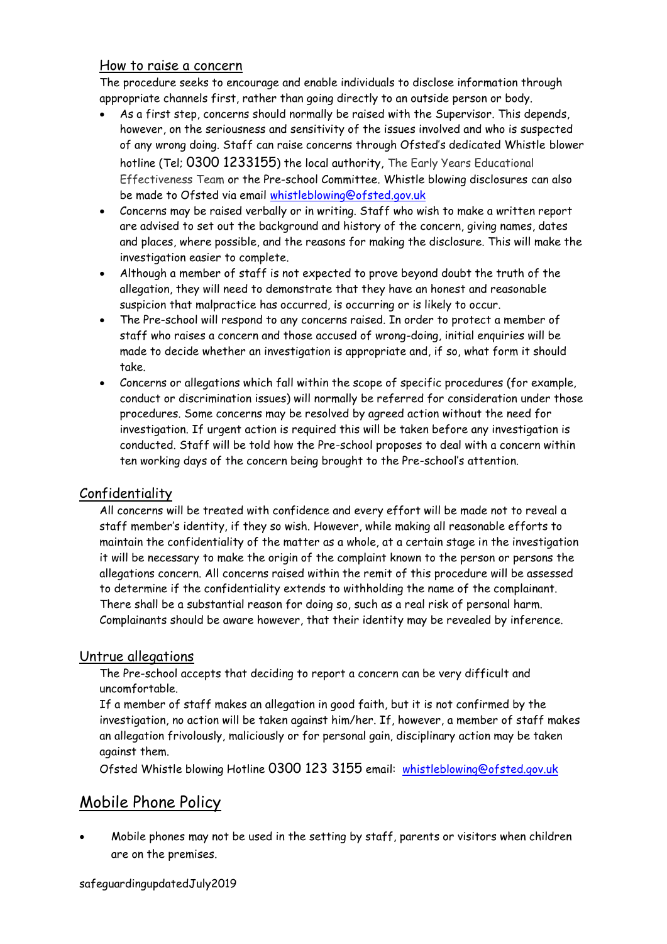#### How to raise a concern

The procedure seeks to encourage and enable individuals to disclose information through appropriate channels first, rather than going directly to an outside person or body.

- As a first step, concerns should normally be raised with the Supervisor. This depends, however, on the seriousness and sensitivity of the issues involved and who is suspected of any wrong doing. Staff can raise concerns through Ofsted's dedicated Whistle blower hotline (Tel; 0300 1233155) the local authority, The Early Years Educational Effectiveness Team or the Pre-school Committee. Whistle blowing disclosures can also be made to Ofsted via email [whistleblowing@ofsted.gov.uk](mailto:whistleblowing@ofsted.gov.uk)
- Concerns may be raised verbally or in writing. Staff who wish to make a written report are advised to set out the background and history of the concern, giving names, dates and places, where possible, and the reasons for making the disclosure. This will make the investigation easier to complete.
- Although a member of staff is not expected to prove beyond doubt the truth of the allegation, they will need to demonstrate that they have an honest and reasonable suspicion that malpractice has occurred, is occurring or is likely to occur.
- The Pre-school will respond to any concerns raised. In order to protect a member of staff who raises a concern and those accused of wrong-doing, initial enquiries will be made to decide whether an investigation is appropriate and, if so, what form it should take.
- Concerns or allegations which fall within the scope of specific procedures (for example, conduct or discrimination issues) will normally be referred for consideration under those procedures. Some concerns may be resolved by agreed action without the need for investigation. If urgent action is required this will be taken before any investigation is conducted. Staff will be told how the Pre-school proposes to deal with a concern within ten working days of the concern being brought to the Pre-school's attention.

### Confidentiality

All concerns will be treated with confidence and every effort will be made not to reveal a staff member's identity, if they so wish. However, while making all reasonable efforts to maintain the confidentiality of the matter as a whole, at a certain stage in the investigation it will be necessary to make the origin of the complaint known to the person or persons the allegations concern. All concerns raised within the remit of this procedure will be assessed to determine if the confidentiality extends to withholding the name of the complainant. There shall be a substantial reason for doing so, such as a real risk of personal harm. Complainants should be aware however, that their identity may be revealed by inference.

### Untrue allegations

The Pre-school accepts that deciding to report a concern can be very difficult and uncomfortable.

If a member of staff makes an allegation in good faith, but it is not confirmed by the investigation, no action will be taken against him/her. If, however, a member of staff makes an allegation frivolously, maliciously or for personal gain, disciplinary action may be taken against them.

Ofsted Whistle blowing Hotline 0300 123 3155 email: [whistleblowing@ofsted.gov.uk](mailto:whistleblowing@ofsted.gov.uk)

## Mobile Phone Policy

• Mobile phones may not be used in the setting by staff, parents or visitors when children are on the premises.

safeguardingupdatedJuly2019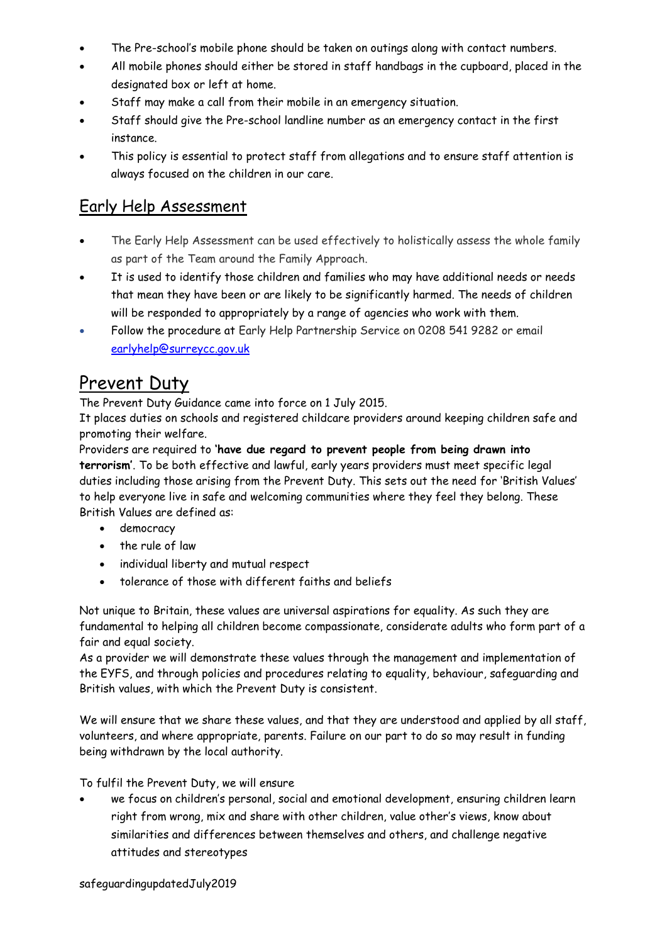- The Pre-school's mobile phone should be taken on outings along with contact numbers.
- All mobile phones should either be stored in staff handbags in the cupboard, placed in the designated box or left at home.
- Staff may make a call from their mobile in an emergency situation.
- Staff should give the Pre-school landline number as an emergency contact in the first instance.
- This policy is essential to protect staff from allegations and to ensure staff attention is always focused on the children in our care.

## Early Help Assessment

- The Early Help Assessment can be used effectively to holistically assess the whole family as part of the Team around the Family Approach.
- It is used to identify those children and families who may have additional needs or needs that mean they have been or are likely to be significantly harmed. The needs of children will be responded to appropriately by a range of agencies who work with them.
- Follow the procedure at Early Help Partnership Service on 0208 541 9282 or email [earlyhelp@surreycc.gov.uk](mailto:earlyhelp@surreycc.gov.uk)

# Prevent Duty

The Prevent Duty Guidance came into force on 1 July 2015.

It places duties on schools and registered childcare providers around keeping children safe and promoting their welfare.

Providers are required to **'have due regard to prevent people from being drawn into terrorism'**. To be both effective and lawful, early years providers must meet specific legal duties including those arising from the Prevent Duty. This sets out the need for 'British Values' to help everyone live in safe and welcoming communities where they feel they belong. These British Values are defined as:

- democracy
- the rule of law
- individual liberty and mutual respect
- tolerance of those with different faiths and beliefs

Not unique to Britain, these values are universal aspirations for equality. As such they are fundamental to helping all children become compassionate, considerate adults who form part of a fair and equal society.

As a provider we will demonstrate these values through the management and implementation of the EYFS, and through policies and procedures relating to equality, behaviour, safeguarding and British values, with which the Prevent Duty is consistent.

We will ensure that we share these values, and that they are understood and applied by all staff, volunteers, and where appropriate, parents. Failure on our part to do so may result in funding being withdrawn by the local authority.

To fulfil the Prevent Duty, we will ensure

• we focus on children's personal, social and emotional development, ensuring children learn right from wrong, mix and share with other children, value other's views, know about similarities and differences between themselves and others, and challenge negative attitudes and stereotypes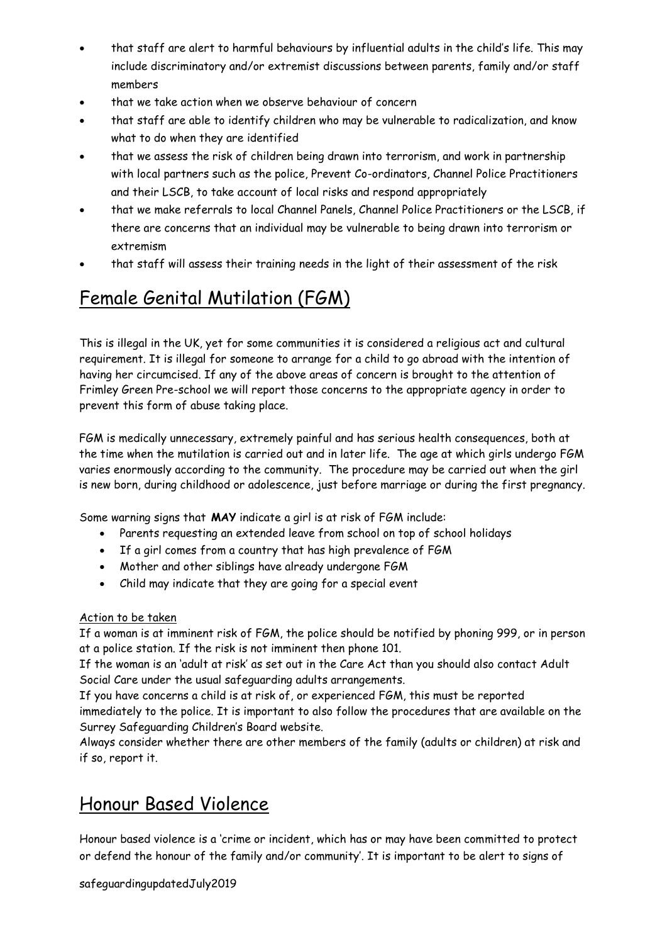- that staff are alert to harmful behaviours by influential adults in the child's life. This may include discriminatory and/or extremist discussions between parents, family and/or staff members
- that we take action when we observe behaviour of concern
- that staff are able to identify children who may be vulnerable to radicalization, and know what to do when they are identified
- that we assess the risk of children being drawn into terrorism, and work in partnership with local partners such as the police, Prevent Co-ordinators, Channel Police Practitioners and their LSCB, to take account of local risks and respond appropriately
- that we make referrals to local Channel Panels, Channel Police Practitioners or the LSCB, if there are concerns that an individual may be vulnerable to being drawn into terrorism or extremism
- that staff will assess their training needs in the light of their assessment of the risk

# Female Genital Mutilation (FGM)

This is illegal in the UK, yet for some communities it is considered a religious act and cultural requirement. It is illegal for someone to arrange for a child to go abroad with the intention of having her circumcised. If any of the above areas of concern is brought to the attention of Frimley Green Pre-school we will report those concerns to the appropriate agency in order to prevent this form of abuse taking place.

FGM is medically unnecessary, extremely painful and has serious health consequences, both at the time when the mutilation is carried out and in later life. The age at which girls undergo FGM varies enormously according to the community. The procedure may be carried out when the girl is new born, during childhood or adolescence, just before marriage or during the first pregnancy.

Some warning signs that **MAY** indicate a girl is at risk of FGM include:

- Parents requesting an extended leave from school on top of school holidays
- If a girl comes from a country that has high prevalence of FGM
- Mother and other siblings have already undergone FGM
- Child may indicate that they are going for a special event

#### Action to be taken

If a woman is at imminent risk of FGM, the police should be notified by phoning 999, or in person at a police station. If the risk is not imminent then phone 101.

If the woman is an 'adult at risk' as set out in the Care Act than you should also contact Adult Social Care under the usual safeguarding adults arrangements.

If you have concerns a child is at risk of, or experienced FGM, this must be reported immediately to the police. It is important to also follow the procedures that are available on the Surrey Safeguarding Children's Board website.

Always consider whether there are other members of the family (adults or children) at risk and if so, report it.

# Honour Based Violence

Honour based violence is a 'crime or incident, which has or may have been committed to protect or defend the honour of the family and/or community'. It is important to be alert to signs of

#### safeguardingupdatedJuly2019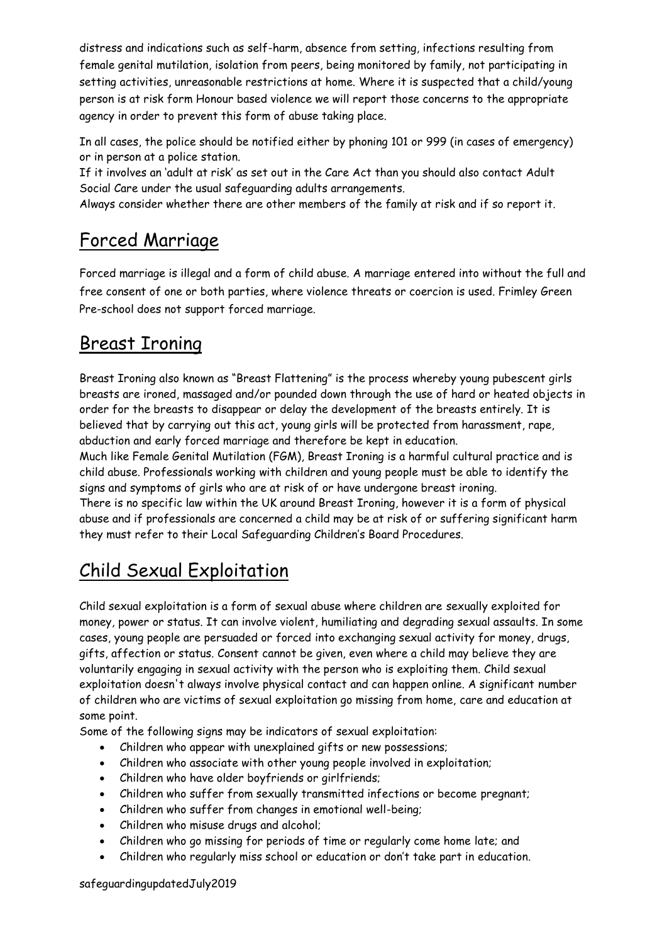distress and indications such as self-harm, absence from setting, infections resulting from female genital mutilation, isolation from peers, being monitored by family, not participating in setting activities, unreasonable restrictions at home. Where it is suspected that a child/young person is at risk form Honour based violence we will report those concerns to the appropriate agency in order to prevent this form of abuse taking place.

In all cases, the police should be notified either by phoning 101 or 999 (in cases of emergency) or in person at a police station.

If it involves an 'adult at risk' as set out in the Care Act than you should also contact Adult Social Care under the usual safeguarding adults arrangements.

Always consider whether there are other members of the family at risk and if so report it.

# Forced Marriage

Forced marriage is illegal and a form of child abuse. A marriage entered into without the full and free consent of one or both parties, where violence threats or coercion is used. Frimley Green Pre-school does not support forced marriage.

# Breast Ironing

Breast Ironing also known as "Breast Flattening" is the process whereby young pubescent girls breasts are ironed, massaged and/or pounded down through the use of hard or heated objects in order for the breasts to disappear or delay the development of the breasts entirely. It is believed that by carrying out this act, young girls will be protected from harassment, rape, abduction and early forced marriage and therefore be kept in education.

Much like Female Genital Mutilation (FGM), Breast Ironing is a harmful cultural practice and is child abuse. Professionals working with children and young people must be able to identify the signs and symptoms of girls who are at risk of or have undergone breast ironing. There is no specific law within the UK around Breast Ironing, however it is a form of physical abuse and if professionals are concerned a child may be at risk of or suffering significant harm

they must refer to their Local Safeguarding Children's Board Procedures.

# Child Sexual Exploitation

Child sexual exploitation is a form of sexual abuse where children are sexually exploited for money, power or status. It can involve violent, humiliating and degrading sexual assaults. In some cases, young people are persuaded or forced into exchanging sexual activity for money, drugs, gifts, affection or status. Consent cannot be given, even where a child may believe they are voluntarily engaging in sexual activity with the person who is exploiting them. Child sexual exploitation doesn't always involve physical contact and can happen online. A significant number of children who are victims of sexual exploitation go missing from home, care and education at some point.

Some of the following signs may be indicators of sexual exploitation:

- Children who appear with unexplained gifts or new possessions;
- Children who associate with other young people involved in exploitation;
- Children who have older boyfriends or girlfriends;
- Children who suffer from sexually transmitted infections or become pregnant;
- Children who suffer from changes in emotional well-being;
- Children who misuse drugs and alcohol;
- Children who go missing for periods of time or regularly come home late; and
- Children who regularly miss school or education or don't take part in education.

safeguardingupdatedJuly2019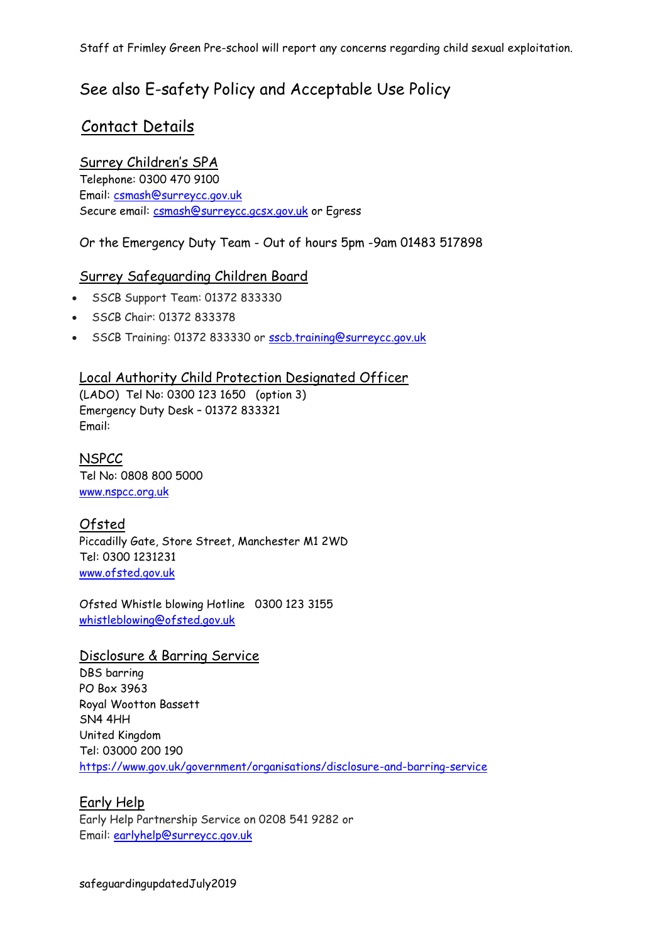Staff at Frimley Green Pre-school will report any concerns regarding child sexual exploitation.

## See also E-safety Policy and Acceptable Use Policy

## Contact Details

## Surrey Children's SPA

Telephone: 0300 470 9100 Email: [csmash@surreycc.gov.uk](mailto:csmash@surreycc.gov.uk) Secure email: [csmash@surreycc.gcsx.gov.uk](mailto:csmash@surreycc.gcsx.gov.uk) or Egress

### Or the Emergency Duty Team - Out of hours 5pm -9am 01483 517898

## Surrey Safeguarding Children Board

- SSCB Support Team: 01372 833330
- SSCB Chair: 01372 833378
- SSCB Training: 01372 833330 or [sscb.training@surreycc.gov.uk](mailto:sscb.training@surreycc.gov.uk)

### Local Authority Child Protection Designated Officer

(LADO) Tel No: 0300 123 1650 (option 3) Emergency Duty Desk – 01372 833321 Email:

**NSPCC** Tel No: 0808 800 5000 [www.nspcc.org.uk](http://www.nspcc.org.uk/)

## Ofsted

Piccadilly Gate, Store Street, Manchester M1 2WD Tel: 0300 1231231 [www.ofsted.gov.uk](http://www.ofsted.gov.uk/)

Ofsted Whistle blowing Hotline 0300 123 3155 [whistleblowing@ofsted.gov.uk](mailto:whistleblowing@ofsted.gov.uk)

### Disclosure & Barring Service

DBS barring PO Box 3963 Royal Wootton Bassett SN4 4HH United Kingdom Tel: 03000 200 190 <https://www.gov.uk/government/organisations/disclosure-and-barring-service>

### Early Help

Early Help Partnership Service on 0208 541 9282 or Email: [earlyhelp@surreycc.gov.uk](mailto:earlyhelp@surreycc.gov.uk)